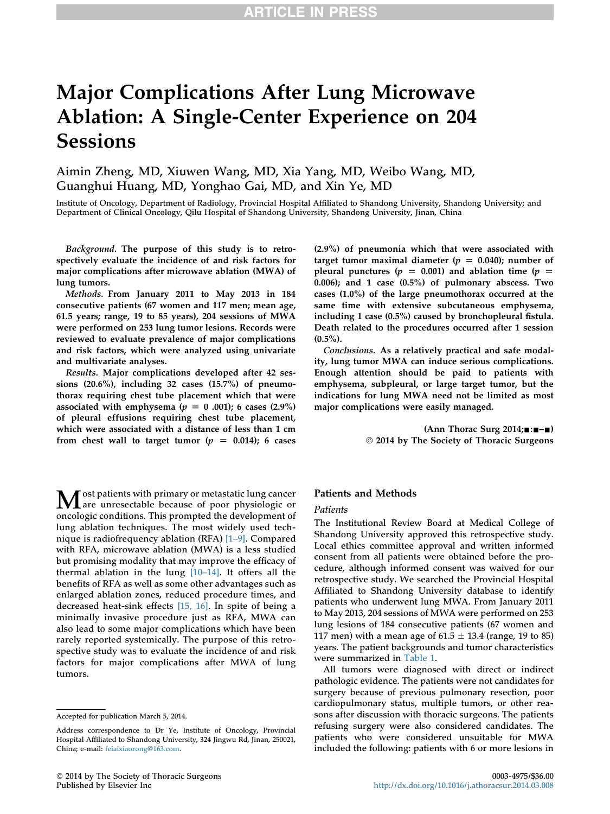# Major Complications After Lung Microwave Ablation: A Single-Center Experience on 204 **Sessions**

Aimin Zheng, MD, Xiuwen Wang, MD, Xia Yang, MD, Weibo Wang, MD, Guanghui Huang, MD, Yonghao Gai, MD, and Xin Ye, MD

Institute of Oncology, Department of Radiology, Provincial Hospital Affiliated to Shandong University, Shandong University; and Department of Clinical Oncology, Qilu Hospital of Shandong University, Shandong University, Jinan, China

Background. The purpose of this study is to retrospectively evaluate the incidence of and risk factors for major complications after microwave ablation (MWA) of lung tumors.

Methods. From January 2011 to May 2013 in 184 consecutive patients (67 women and 117 men; mean age, 61.5 years; range, 19 to 85 years), 204 sessions of MWA were performed on 253 lung tumor lesions. Records were reviewed to evaluate prevalence of major complications and risk factors, which were analyzed using univariate and multivariate analyses.

Results. Major complications developed after 42 sessions (20.6%), including 32 cases (15.7%) of pneumothorax requiring chest tube placement which that were associated with emphysema ( $p = 0.001$ ); 6 cases (2.9%) of pleural effusions requiring chest tube placement, which were associated with a distance of less than 1 cm from chest wall to target tumor ( $p = 0.014$ ); 6 cases

(2.9%) of pneumonia which that were associated with target tumor maximal diameter ( $p = 0.040$ ); number of pleural punctures ( $p = 0.001$ ) and ablation time ( $p =$ 0.006); and 1 case (0.5%) of pulmonary abscess. Two cases (1.0%) of the large pneumothorax occurred at the same time with extensive subcutaneous emphysema, including 1 case (0.5%) caused by bronchopleural fistula. Death related to the procedures occurred after 1 session  $(0.5\%)$ .

Conclusions. As a relatively practical and safe modality, lung tumor MWA can induce serious complications. Enough attention should be paid to patients with emphysema, subpleural, or large target tumor, but the indications for lung MWA need not be limited as most major complications were easily managed.

> (Ann Thorac Surg  $2014; \ldots -$ 2014 by The Society of Thoracic Surgeons

M ost patients with primary or metastatic lung cancer<br>are unresectable because of poor physiologic or<br>another with a substant of the development of oncologic conditions. This prompted the development of lung ablation techniques. The most widely used technique is radiofrequency ablation  $(RFA)$  [\[1](#page-4-0)–[9\]](#page-4-0). Compared with RFA, microwave ablation (MWA) is a less studied but promising modality that may improve the efficacy of thermal ablation in the lung  $[10-14]$  $[10-14]$ . It offers all the benefits of RFA as well as some other advantages such as enlarged ablation zones, reduced procedure times, and decreased heat-sink effects [\[15, 16\].](#page-4-0) In spite of being a minimally invasive procedure just as RFA, MWA can also lead to some major complications which have been rarely reported systemically. The purpose of this retrospective study was to evaluate the incidence of and risk factors for major complications after MWA of lung tumors.

### Patients and Methods

### Patients

The Institutional Review Board at Medical College of Shandong University approved this retrospective study. Local ethics committee approval and written informed consent from all patients were obtained before the procedure, although informed consent was waived for our retrospective study. We searched the Provincial Hospital Affiliated to Shandong University database to identify patients who underwent lung MWA. From January 2011 to May 2013, 204 sessions of MWA were performed on 253 lung lesions of 184 consecutive patients (67 women and 117 men) with a mean age of  $61.5 \pm 13.4$  (range, 19 to 85) years. The patient backgrounds and tumor characteristics were summarized in [Table 1](#page-1-0).

All tumors were diagnosed with direct or indirect pathologic evidence. The patients were not candidates for surgery because of previous pulmonary resection, poor cardiopulmonary status, multiple tumors, or other reasons after discussion with thoracic surgeons. The patients refusing surgery were also considered candidates. The patients who were considered unsuitable for MWA included the following: patients with 6 or more lesions in

Accepted for publication March 5, 2014.

Address correspondence to Dr Ye, Institute of Oncology, Provincial Hospital Affiliated to Shandong University, 324 Jingwu Rd, Jinan, 250021, China; e-mail: [feiaixiaorong@163.com.](mailto:feiaixiaorong@163.com)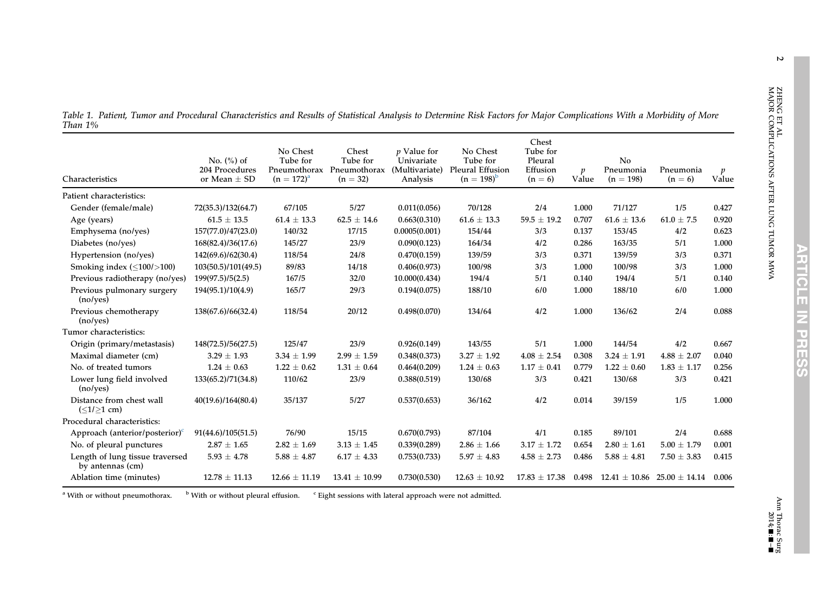| Characteristics                                     | No. $(\%)$ of<br>204 Procedures<br>or Mean $\pm$ SD | No Chest<br>Tube for<br>Pneumothorax<br>$(n = 172)^{a}$ | Chest<br>Tube for<br>Pneumothorax<br>$(n = 32)$ | <i>p</i> Value for<br>Univariate<br>(Multivariate)<br>Analysis | No Chest<br>Tube for<br>Pleural Effusion<br>$(n = 198)^{b}$ | Chest<br>Tube for<br>Pleural<br>Effusion<br>$(n = 6)$ | $\boldsymbol{v}$<br>Value | No<br>Pneumonia<br>$(n = 198)$ | Pneumonia<br>$(n = 6)$ | $\boldsymbol{p}$<br>Value |
|-----------------------------------------------------|-----------------------------------------------------|---------------------------------------------------------|-------------------------------------------------|----------------------------------------------------------------|-------------------------------------------------------------|-------------------------------------------------------|---------------------------|--------------------------------|------------------------|---------------------------|
| Patient characteristics:                            |                                                     |                                                         |                                                 |                                                                |                                                             |                                                       |                           |                                |                        |                           |
| Gender (female/male)                                | 72(35.3)/132(64.7)                                  | 67/105                                                  | 5/27                                            | 0.011(0.056)                                                   | 70/128                                                      | 2/4                                                   | 1.000                     | 71/127                         | 1/5                    | 0.427                     |
| Age (years)                                         | $61.5 \pm 13.5$                                     | $61.4 \pm 13.3$                                         | $62.5 \pm 14.6$                                 | 0.663(0.310)                                                   | $61.6 \pm 13.3$                                             | $59.5 \pm 19.2$                                       | 0.707                     | $61.6 \pm 13.6$                | $61.0 \pm 7.5$         | 0.920                     |
| Emphysema (no/yes)                                  | 157(77.0)/47(23.0)                                  | 140/32                                                  | 17/15                                           | 0.0005(0.001)                                                  | 154/44                                                      | 3/3                                                   | 0.137                     | 153/45                         | 4/2                    | 0.623                     |
| Diabetes (no/yes)                                   | 168(82.4)/36(17.6)                                  | 145/27                                                  | 23/9                                            | 0.090(0.123)                                                   | 164/34                                                      | 4/2                                                   | 0.286                     | 163/35                         | 5/1                    | 1.000                     |
| Hypertension (no/yes)                               | 142(69.6)/62(30.4)                                  | 118/54                                                  | 24/8                                            | 0.470(0.159)                                                   | 139/59                                                      | 3/3                                                   | 0.371                     | 139/59                         | 3/3                    | 0.371                     |
| Smoking index $(\leq 100 / > 100)$                  | 103(50.5)/101(49.5)                                 | 89/83                                                   | 14/18                                           | 0.406(0.973)                                                   | 100/98                                                      | 3/3                                                   | 1.000                     | 100/98                         | 3/3                    | 1.000                     |
| Previous radiotherapy (no/yes)                      | 199(97.5)/5(2.5)                                    | 167/5                                                   | 32/0                                            | 10.000(0.434)                                                  | 194/4                                                       | 5/1                                                   | 0.140                     | 194/4                          | 5/1                    | 0.140                     |
| Previous pulmonary surgery<br>(noives)              | 194(95.1)/10(4.9)                                   | 165/7                                                   | 29/3                                            | 0.194(0.075)                                                   | 188/10                                                      | 6/0                                                   | 1.000                     | 188/10                         | 6/0                    | 1.000                     |
| Previous chemotherapy<br>(noives)                   | 138(67.6)/66(32.4)                                  | 118/54                                                  | 20/12                                           | 0.498(0.070)                                                   | 134/64                                                      | 4/2                                                   | 1.000                     | 136/62                         | 2/4                    | 0.088                     |
| Tumor characteristics:                              |                                                     |                                                         |                                                 |                                                                |                                                             |                                                       |                           |                                |                        |                           |
| Origin (primary/metastasis)                         | 148(72.5)/56(27.5)                                  | 125/47                                                  | 23/9                                            | 0.926(0.149)                                                   | 143/55                                                      | 5/1                                                   | 1.000                     | 144/54                         | 4/2                    | 0.667                     |
| Maximal diameter (cm)                               | $3.29 \pm 1.93$                                     | $3.34 \pm 1.99$                                         | $2.99 \pm 1.59$                                 | 0.348(0.373)                                                   | $3.27 \pm 1.92$                                             | $4.08 \pm 2.54$                                       | 0.308                     | $3.24 \pm 1.91$                | $4.88 \pm 2.07$        | 0.040                     |
| No. of treated tumors                               | $1.24 \pm 0.63$                                     | $1.22 \pm 0.62$                                         | $1.31 \pm 0.64$                                 | 0.464(0.209)                                                   | $1.24 \pm 0.63$                                             | $1.17 \pm 0.41$                                       | 0.779                     | $1.22 \pm 0.60$                | $1.83 \pm 1.17$        | 0.256                     |
| Lower lung field involved<br>(noives)               | 133(65.2)/71(34.8)                                  | 110/62                                                  | 23/9                                            | 0.388(0.519)                                                   | 130/68                                                      | 3/3                                                   | 0.421                     | 130/68                         | 3/3                    | 0.421                     |
| Distance from chest wall<br>$(\leq1/\geq1$ cm)      | 40(19.6)/164(80.4)                                  | 35/137                                                  | 5/27                                            | 0.537(0.653)                                                   | 36/162                                                      | 4/2                                                   | 0.014                     | 39/159                         | 1/5                    | 1.000                     |
| Procedural characteristics:                         |                                                     |                                                         |                                                 |                                                                |                                                             |                                                       |                           |                                |                        |                           |
| Approach (anterior/posterior) $\epsilon$            | 91(44.6)/105(51.5)                                  | 76/90                                                   | 15/15                                           | 0.670(0.793)                                                   | 87/104                                                      | 4/1                                                   | 0.185                     | 89/101                         | 2/4                    | 0.688                     |
| No. of pleural punctures                            | $2.87 \pm 1.65$                                     | $2.82 \pm 1.69$                                         | $3.13 \pm 1.45$                                 | 0.339(0.289)                                                   | $2.86 \pm 1.66$                                             | $3.17 \pm 1.72$                                       | 0.654                     | $2.80 \pm 1.61$                | $5.00 \pm 1.79$        | 0.001                     |
| Length of lung tissue traversed<br>by antennas (cm) | $5.93 \pm 4.78$                                     | $5.88 \pm 4.87$                                         | $6.17 \pm 4.33$                                 | 0.753(0.733)                                                   | $5.97 \pm 4.83$                                             | $4.58 \pm 2.73$                                       | 0.486                     | $5.88\,\pm\,4.81$              | $7.50 \pm 3.83$        | 0.415                     |
| Ablation time (minutes)                             | $12.78 \pm 11.13$                                   | $12.66 \pm 11.19$                                       | $13.41 \pm 10.99$                               | 0.730(0.530)                                                   | $12.63 \pm 10.92$                                           | $17.83 \pm 17.38$                                     | 0.498                     | $12.41\pm10.86$                | $25.00 \pm 14.14$      | 0.006                     |

<span id="page-1-0"></span>Table 1. Patient, Tumor and Procedural Characteristics and Results of Statistical Analysis to Determine Risk Factors for Major Complications With <sup>a</sup> Morbidity of More Than 1%

<sup>a</sup> With or without pneumothorax.  $b$  With or without pleural effusion.  $c$  Eight sessions with lateral approach were not admitted. ZHENG ET AL

MAJOR COMPLICATIONS AFTER LUNG TUMOR MWA

ZHENG ET AL<br>MAJOR COMPLICATIONS AFTER LUNG TUMOR MWA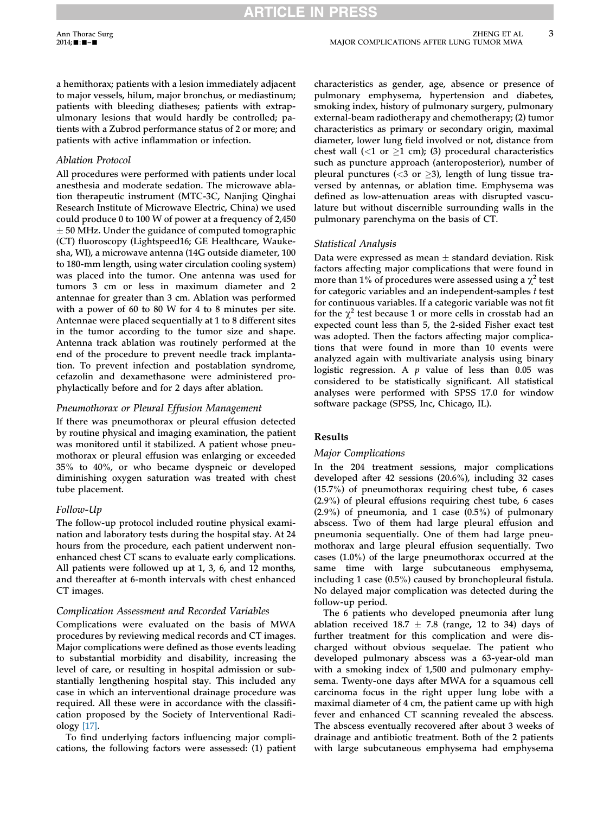a hemithorax; patients with a lesion immediately adjacent to major vessels, hilum, major bronchus, or mediastinum; patients with bleeding diatheses; patients with extrapulmonary lesions that would hardly be controlled; patients with a Zubrod performance status of 2 or more; and patients with active inflammation or infection.

# Ablation Protocol

All procedures were performed with patients under local anesthesia and moderate sedation. The microwave ablation therapeutic instrument (MTC-3C, Nanjing Qinghai Research Institute of Microwave Electric, China) we used could produce 0 to 100 W of power at a frequency of 2,450  $\pm$  50 MHz. Under the guidance of computed tomographic (CT) fluoroscopy (Lightspeed16; GE Healthcare, Waukesha, WI), a microwave antenna (14G outside diameter, 100 to 180-mm length, using water circulation cooling system) was placed into the tumor. One antenna was used for tumors 3 cm or less in maximum diameter and 2 antennae for greater than 3 cm. Ablation was performed with a power of 60 to 80 W for 4 to 8 minutes per site. Antennae were placed sequentially at 1 to 8 different sites in the tumor according to the tumor size and shape. Antenna track ablation was routinely performed at the end of the procedure to prevent needle track implantation. To prevent infection and postablation syndrome, cefazolin and dexamethasone were administered prophylactically before and for 2 days after ablation.

## Pneumothorax or Pleural Effusion Management

If there was pneumothorax or pleural effusion detected by routine physical and imaging examination, the patient was monitored until it stabilized. A patient whose pneumothorax or pleural effusion was enlarging or exceeded 35% to 40%, or who became dyspneic or developed diminishing oxygen saturation was treated with chest tube placement.

# Follow-Up

The follow-up protocol included routine physical examination and laboratory tests during the hospital stay. At 24 hours from the procedure, each patient underwent nonenhanced chest CT scans to evaluate early complications. All patients were followed up at 1, 3, 6, and 12 months, and thereafter at 6-month intervals with chest enhanced CT images.

# Complication Assessment and Recorded Variables

Complications were evaluated on the basis of MWA procedures by reviewing medical records and CT images. Major complications were defined as those events leading to substantial morbidity and disability, increasing the level of care, or resulting in hospital admission or substantially lengthening hospital stay. This included any case in which an interventional drainage procedure was required. All these were in accordance with the classification proposed by the Society of Interventional Radiology [\[17\].](#page-4-0)

To find underlying factors influencing major complications, the following factors were assessed: (1) patient

characteristics as gender, age, absence or presence of pulmonary emphysema, hypertension and diabetes, smoking index, history of pulmonary surgery, pulmonary external-beam radiotherapy and chemotherapy; (2) tumor characteristics as primary or secondary origin, maximal diameter, lower lung field involved or not, distance from chest wall (<1 or  $\geq$ 1 cm); (3) procedural characteristics such as puncture approach (anteroposterior), number of pleural punctures (<3 or  $\geq$ 3), length of lung tissue traversed by antennas, or ablation time. Emphysema was defined as low-attenuation areas with disrupted vasculature but without discernible surrounding walls in the pulmonary parenchyma on the basis of CT.

# Statistical Analysis

Data were expressed as mean  $\pm$  standard deviation. Risk factors affecting major complications that were found in more than 1% of procedures were assessed using a  $\chi^2$  test for categoric variables and an independent-samples  $t$  test for continuous variables. If a categoric variable was not fit for the  $\chi^2$  test because 1 or more cells in crosstab had an expected count less than 5, the 2-sided Fisher exact test was adopted. Then the factors affecting major complications that were found in more than 10 events were analyzed again with multivariate analysis using binary logistic regression. A  $p$  value of less than 0.05 was considered to be statistically significant. All statistical analyses were performed with SPSS 17.0 for window software package (SPSS, Inc, Chicago, IL).

## Results

## Major Complications

In the 204 treatment sessions, major complications developed after 42 sessions (20.6%), including 32 cases (15.7%) of pneumothorax requiring chest tube, 6 cases (2.9%) of pleural effusions requiring chest tube, 6 cases (2.9%) of pneumonia, and 1 case (0.5%) of pulmonary abscess. Two of them had large pleural effusion and pneumonia sequentially. One of them had large pneumothorax and large pleural effusion sequentially. Two cases (1.0%) of the large pneumothorax occurred at the same time with large subcutaneous emphysema, including 1 case (0.5%) caused by bronchopleural fistula. No delayed major complication was detected during the follow-up period.

The 6 patients who developed pneumonia after lung ablation received  $18.7 \pm 7.8$  (range, 12 to 34) days of further treatment for this complication and were discharged without obvious sequelae. The patient who developed pulmonary abscess was a 63-year-old man with a smoking index of 1,500 and pulmonary emphysema. Twenty-one days after MWA for a squamous cell carcinoma focus in the right upper lung lobe with a maximal diameter of 4 cm, the patient came up with high fever and enhanced CT scanning revealed the abscess. The abscess eventually recovered after about 3 weeks of drainage and antibiotic treatment. Both of the 2 patients with large subcutaneous emphysema had emphysema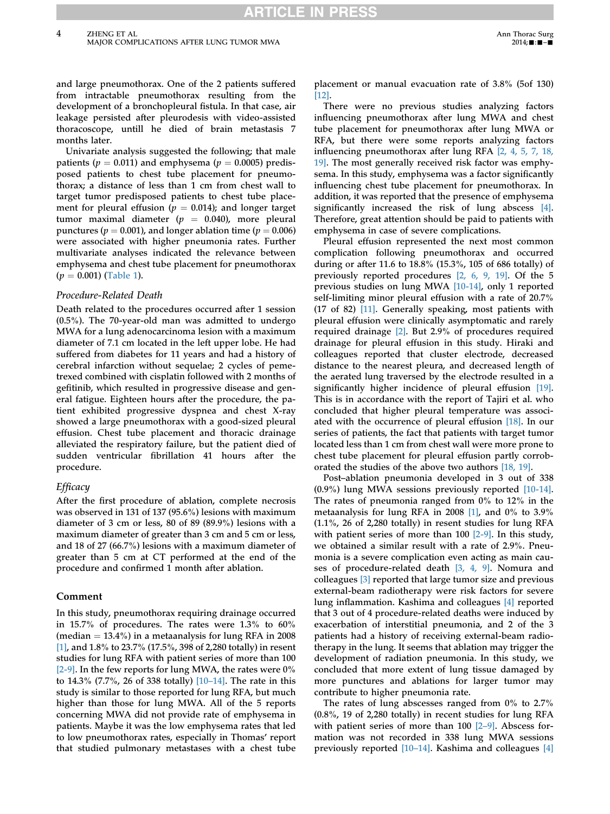and large pneumothorax. One of the 2 patients suffered from intractable pneumothorax resulting from the development of a bronchopleural fistula. In that case, air leakage persisted after pleurodesis with video-assisted thoracoscope, untill he died of brain metastasis 7 months later.

Univariate analysis suggested the following; that male patients ( $p = 0.011$ ) and emphysema ( $p = 0.0005$ ) predisposed patients to chest tube placement for pneumothorax; a distance of less than 1 cm from chest wall to target tumor predisposed patients to chest tube placement for pleural effusion ( $p = 0.014$ ); and longer target tumor maximal diameter ( $p = 0.040$ ), more pleural punctures ( $p = 0.001$ ), and longer ablation time ( $p = 0.006$ ) were associated with higher pneumonia rates. Further multivariate analyses indicated the relevance between emphysema and chest tube placement for pneumothorax  $(p = 0.001)$  [\(Table 1](#page-1-0)).

#### Procedure-Related Death

Death related to the procedures occurred after 1 session (0.5%). The 70-year-old man was admitted to undergo MWA for a lung adenocarcinoma lesion with a maximum diameter of 7.1 cm located in the left upper lobe. He had suffered from diabetes for 11 years and had a history of cerebral infarction without sequelae; 2 cycles of pemetrexed combined with cisplatin followed with 2 months of gefitinib, which resulted in progressive disease and general fatigue. Eighteen hours after the procedure, the patient exhibited progressive dyspnea and chest X-ray showed a large pneumothorax with a good-sized pleural effusion. Chest tube placement and thoracic drainage alleviated the respiratory failure, but the patient died of sudden ventricular fibrillation 41 hours after the procedure.

## **Efficacy**

After the first procedure of ablation, complete necrosis was observed in 131 of 137 (95.6%) lesions with maximum diameter of 3 cm or less, 80 of 89 (89.9%) lesions with a maximum diameter of greater than 3 cm and 5 cm or less, and 18 of 27 (66.7%) lesions with a maximum diameter of greater than 5 cm at CT performed at the end of the procedure and confirmed 1 month after ablation.

## Comment

In this study, pneumothorax requiring drainage occurred in 15.7% of procedures. The rates were 1.3% to 60% (median  $= 13.4\%$ ) in a metaanalysis for lung RFA in 2008 [\[1\]](#page-4-0), and 1.8% to 23.7% (17.5%, 398 of 2,280 totally) in resent studies for lung RFA with patient series of more than 100 [\[2-9\]](#page-4-0). In the few reports for lung MWA, the rates were 0% to 14.3% (7.7%, 26 of 338 totally) [\[10](#page-4-0)–[14\]](#page-4-0). The rate in this study is similar to those reported for lung RFA, but much higher than those for lung MWA. All of the 5 reports concerning MWA did not provide rate of emphysema in patients. Maybe it was the low emphysema rates that led to low pneumothorax rates, especially in Thomas' report that studied pulmonary metastases with a chest tube placement or manual evacuation rate of 3.8% (5of 130) [\[12\].](#page-4-0)

There were no previous studies analyzing factors influencing pneumothorax after lung MWA and chest tube placement for pneumothorax after lung MWA or RFA, but there were some reports analyzing factors influencing pneumothorax after lung RFA [\[2, 4, 5, 7, 18,](#page-4-0) [19\].](#page-4-0) The most generally received risk factor was emphysema. In this study, emphysema was a factor significantly influencing chest tube placement for pneumothorax. In addition, it was reported that the presence of emphysema significantly increased the risk of lung abscess [\[4\].](#page-4-0) Therefore, great attention should be paid to patients with emphysema in case of severe complications.

Pleural effusion represented the next most common complication following pneumothorax and occurred during or after 11.6 to 18.8% (15.3%, 105 of 686 totally) of previously reported procedures [\[2, 6, 9, 19\]](#page-4-0). Of the 5 previous studies on lung MWA [\[10-14\],](#page-4-0) only 1 reported self-limiting minor pleural effusion with a rate of 20.7% (17 of 82) [\[11\].](#page-4-0) Generally speaking, most patients with pleural effusion were clinically asymptomatic and rarely required drainage [\[2\]](#page-4-0). But 2.9% of procedures required drainage for pleural effusion in this study. Hiraki and colleagues reported that cluster electrode, decreased distance to the nearest pleura, and decreased length of the aerated lung traversed by the electrode resulted in a significantly higher incidence of pleural effusion [\[19\].](#page-5-0) This is in accordance with the report of Tajiri et al. who concluded that higher pleural temperature was associated with the occurrence of pleural effusion [\[18\]](#page-4-0). In our series of patients, the fact that patients with target tumor located less than 1 cm from chest wall were more prone to chest tube placement for pleural effusion partly corroborated the studies of the above two authors [\[18, 19\].](#page-4-0)

Post–ablation pneumonia developed in 3 out of 338 (0.9%) lung MWA sessions previously reported [\[10-14\].](#page-4-0) The rates of pneumonia ranged from 0% to 12% in the metaanalysis for lung RFA in 2008 [\[1\]](#page-4-0), and 0% to 3.9% (1.1%, 26 of 2,280 totally) in resent studies for lung RFA with patient series of more than 100 [\[2-9\].](#page-4-0) In this study, we obtained a similar result with a rate of 2.9%. Pneumonia is a severe complication even acting as main causes of procedure-related death [\[3, 4, 9\]](#page-4-0). Nomura and colleagues [\[3\]](#page-4-0) reported that large tumor size and previous external-beam radiotherapy were risk factors for severe lung inflammation. Kashima and colleagues [\[4\]](#page-4-0) reported that 3 out of 4 procedure-related deaths were induced by exacerbation of interstitial pneumonia, and 2 of the 3 patients had a history of receiving external-beam radiotherapy in the lung. It seems that ablation may trigger the development of radiation pneumonia. In this study, we concluded that more extent of lung tissue damaged by more punctures and ablations for larger tumor may contribute to higher pneumonia rate.

The rates of lung abscesses ranged from 0% to 2.7% (0.8%, 19 of 2,280 totally) in recent studies for lung RFA with patient series of more than  $100$   $[2-9]$  $[2-9]$  $[2-9]$ . Abscess formation was not recorded in 338 lung MWA sessions previously reported [\[10](#page-4-0)–[14\]](#page-4-0). Kashima and colleagues [\[4\]](#page-4-0)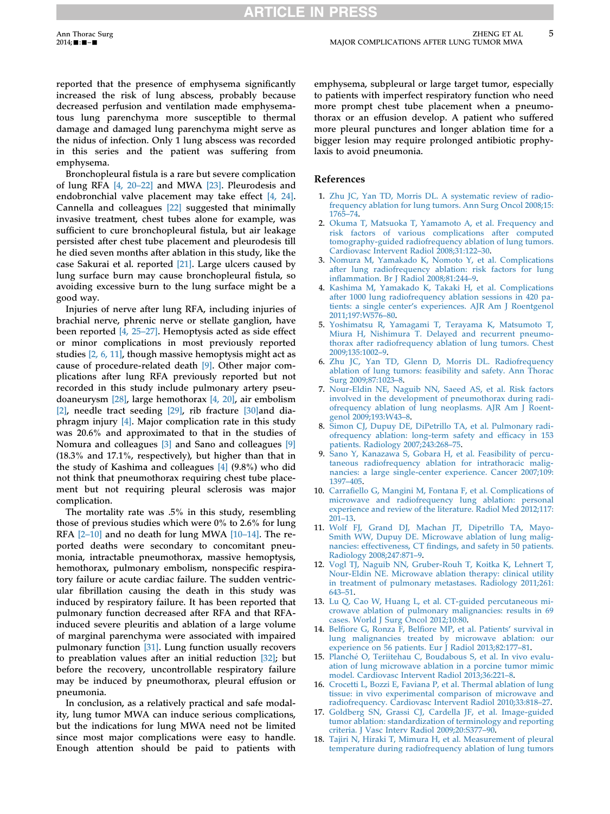# **RTICLE IN**

<span id="page-4-0"></span>reported that the presence of emphysema significantly increased the risk of lung abscess, probably because decreased perfusion and ventilation made emphysematous lung parenchyma more susceptible to thermal damage and damaged lung parenchyma might serve as the nidus of infection. Only 1 lung abscess was recorded in this series and the patient was suffering from emphysema.

Bronchopleural fistula is a rare but severe complication of lung RFA [4, 20–22] and MWA [\[23\].](#page-5-0) Pleurodesis and endobronchial valve placement may take effect [4, 24]. Cannella and colleagues [\[22\]](#page-5-0) suggested that minimally invasive treatment, chest tubes alone for example, was sufficient to cure bronchopleural fistula, but air leakage persisted after chest tube placement and pleurodesis till he died seven months after ablation in this study, like the case Sakurai et al. reported [\[21\].](#page-5-0) Large ulcers caused by lung surface burn may cause bronchopleural fistula, so avoiding excessive burn to the lung surface might be a good way.

Injuries of nerve after lung RFA, including injuries of brachial nerve, phrenic nerve or stellate ganglion, have been reported [4, 25–27]. Hemoptysis acted as side effect or minor complications in most previously reported studies [2, 6, 11], though massive hemoptysis might act as cause of procedure-related death [9]. Other major complications after lung RFA previously reported but not recorded in this study include pulmonary artery pseudoaneurysm [\[28\]](#page-5-0), large hemothorax [4, 20], air embolism [2], needle tract seeding [\[29\],](#page-5-0) rib fracture [30] and diaphragm injury [4]. Major complication rate in this study was 20.6% and approximated to that in the studies of Nomura and colleagues [3] and Sano and colleagues [9] (18.3% and 17.1%, respectively), but higher than that in the study of Kashima and colleagues [4] (9.8%) who did not think that pneumothorax requiring chest tube placement but not requiring pleural sclerosis was major complication.

The mortality rate was .5% in this study, resembling those of previous studies which were 0% to 2.6% for lung RFA  $[2-10]$  and no death for lung MWA  $[10-14]$ . The reported deaths were secondary to concomitant pneumonia, intractable pneumothorax, massive hemoptysis, hemothorax, pulmonary embolism, nonspecific respiratory failure or acute cardiac failure. The sudden ventricular fibrillation causing the death in this study was induced by respiratory failure. It has been reported that pulmonary function decreased after RFA and that RFAinduced severe pleuritis and ablation of a large volume of marginal parenchyma were associated with impaired pulmonary function [\[31\].](#page-5-0) Lung function usually recovers to preablation values after an initial reduction [\[32\]](#page-5-0); but before the recovery, uncontrollable respiratory failure may be induced by pneumothorax, pleural effusion or pneumonia.

In conclusion, as a relatively practical and safe modality, lung tumor MWA can induce serious complications, but the indications for lung MWA need not be limited since most major complications were easy to handle. Enough attention should be paid to patients with

emphysema, subpleural or large target tumor, especially to patients with imperfect respiratory function who need more prompt chest tube placement when a pneumothorax or an effusion develop. A patient who suffered more pleural punctures and longer ablation time for a bigger lesion may require prolonged antibiotic prophylaxis to avoid pneumonia.

## References

- 1. [Zhu JC, Yan TD, Morris DL. A systematic review of radio](http://refhub.elsevier.com/S0003-4975(14)00576-1/sref1)[frequency ablation for lung tumors. Ann Surg Oncol 2008;15:](http://refhub.elsevier.com/S0003-4975(14)00576-1/sref1) [1765](http://refhub.elsevier.com/S0003-4975(14)00576-1/sref1)–74.
- 2. [Okuma T, Matsuoka T, Yamamoto A, et al. Frequency and](http://refhub.elsevier.com/S0003-4975(14)00576-1/sref2) [risk factors of various complications after computed](http://refhub.elsevier.com/S0003-4975(14)00576-1/sref2) [tomography-guided radiofrequency ablation of lung tumors.](http://refhub.elsevier.com/S0003-4975(14)00576-1/sref2) [Cardiovasc Intervent Radiol 2008;31:122](http://refhub.elsevier.com/S0003-4975(14)00576-1/sref2)–30.
- 3. [Nomura M, Yamakado K, Nomoto Y, et al. Complications](http://refhub.elsevier.com/S0003-4975(14)00576-1/sref3) [after lung radiofrequency ablation: risk factors for lung](http://refhub.elsevier.com/S0003-4975(14)00576-1/sref3) infl[ammation. Br J Radiol 2008;81:244](http://refhub.elsevier.com/S0003-4975(14)00576-1/sref3)–9.
- 4. [Kashima M, Yamakado K, Takaki H, et al. Complications](http://refhub.elsevier.com/S0003-4975(14)00576-1/sref4) [after 1000 lung radiofrequency ablation sessions in 420 pa](http://refhub.elsevier.com/S0003-4975(14)00576-1/sref4)tients: a single center'[s experiences. AJR Am J Roentgenol](http://refhub.elsevier.com/S0003-4975(14)00576-1/sref4) [2011;197:W576](http://refhub.elsevier.com/S0003-4975(14)00576-1/sref4)–80.
- 5. [Yoshimatsu R, Yamagami T, Terayama K, Matsumoto T,](http://refhub.elsevier.com/S0003-4975(14)00576-1/sref5) [Miura H, Nishimura T. Delayed and recurrent pneumo](http://refhub.elsevier.com/S0003-4975(14)00576-1/sref5)[thorax after radiofrequency ablation of lung tumors. Chest](http://refhub.elsevier.com/S0003-4975(14)00576-1/sref5) [2009;135:1002](http://refhub.elsevier.com/S0003-4975(14)00576-1/sref5)–9.
- 6. [Zhu JC, Yan TD, Glenn D, Morris DL. Radiofrequency](http://refhub.elsevier.com/S0003-4975(14)00576-1/sref6) [ablation of lung tumors: feasibility and safety. Ann Thorac](http://refhub.elsevier.com/S0003-4975(14)00576-1/sref6) [Surg 2009;87:1023](http://refhub.elsevier.com/S0003-4975(14)00576-1/sref6)–8.
- 7. [Nour-Eldin NE, Naguib NN, Saeed AS, et al. Risk factors](http://refhub.elsevier.com/S0003-4975(14)00576-1/sref7) [involved in the development of pneumothorax during radi](http://refhub.elsevier.com/S0003-4975(14)00576-1/sref7)[ofrequency ablation of lung neoplasms. AJR Am J Roent](http://refhub.elsevier.com/S0003-4975(14)00576-1/sref7)[genol 2009;193:W43](http://refhub.elsevier.com/S0003-4975(14)00576-1/sref7)–8.
- 8. [Simon CJ, Dupuy DE, DiPetrillo TA, et al. Pulmonary radi](http://refhub.elsevier.com/S0003-4975(14)00576-1/sref8)[ofrequency ablation: long-term safety and ef](http://refhub.elsevier.com/S0003-4975(14)00576-1/sref8)ficacy in 153 [patients. Radiology 2007;243:268](http://refhub.elsevier.com/S0003-4975(14)00576-1/sref8)–75.
- 9. [Sano Y, Kanazawa S, Gobara H, et al. Feasibility of percu](http://refhub.elsevier.com/S0003-4975(14)00576-1/sref9)[taneous radiofrequency ablation for intrathoracic malig](http://refhub.elsevier.com/S0003-4975(14)00576-1/sref9)[nancies: a large single-center experience. Cancer 2007;109:](http://refhub.elsevier.com/S0003-4975(14)00576-1/sref9) [1397](http://refhub.elsevier.com/S0003-4975(14)00576-1/sref9)–405.
- 10. Carrafi[ello G, Mangini M, Fontana F, et al. Complications of](http://refhub.elsevier.com/S0003-4975(14)00576-1/sref10) [microwave and radiofrequency lung ablation: personal](http://refhub.elsevier.com/S0003-4975(14)00576-1/sref10) [experience and review of the literature. Radiol Med 2012;117:](http://refhub.elsevier.com/S0003-4975(14)00576-1/sref10) [201](http://refhub.elsevier.com/S0003-4975(14)00576-1/sref10)–13.
- 11. [Wolf FJ, Grand DJ, Machan JT, Dipetrillo TA, Mayo-](http://refhub.elsevier.com/S0003-4975(14)00576-1/sref11)[Smith WW, Dupuy DE. Microwave ablation of lung malig](http://refhub.elsevier.com/S0003-4975(14)00576-1/sref11)nancies: effectiveness, CT fi[ndings, and safety in 50 patients.](http://refhub.elsevier.com/S0003-4975(14)00576-1/sref11) [Radiology 2008;247:871](http://refhub.elsevier.com/S0003-4975(14)00576-1/sref11)–9.
- 12. [Vogl TJ, Naguib NN, Gruber-Rouh T, Koitka K, Lehnert T,](http://refhub.elsevier.com/S0003-4975(14)00576-1/sref12) [Nour-Eldin NE. Microwave ablation therapy: clinical utility](http://refhub.elsevier.com/S0003-4975(14)00576-1/sref12) [in treatment of pulmonary metastases. Radiology 2011;261:](http://refhub.elsevier.com/S0003-4975(14)00576-1/sref12) [643](http://refhub.elsevier.com/S0003-4975(14)00576-1/sref12)–51.
- 13. [Lu Q, Cao W, Huang L, et al. CT-guided percutaneous mi](http://refhub.elsevier.com/S0003-4975(14)00576-1/sref13)[crowave ablation of pulmonary malignancies: results in 69](http://refhub.elsevier.com/S0003-4975(14)00576-1/sref13) [cases. World J Surg Oncol 2012;10:80](http://refhub.elsevier.com/S0003-4975(14)00576-1/sref13).
- 14. Belfiore G, Ronza F, Belfi[ore MP, et al. Patients](http://refhub.elsevier.com/S0003-4975(14)00576-1/sref14)' survival in [lung malignancies treated by microwave ablation: our](http://refhub.elsevier.com/S0003-4975(14)00576-1/sref14) [experience on 56 patients. Eur J Radiol 2013;82:177](http://refhub.elsevier.com/S0003-4975(14)00576-1/sref14)–81.
- 15. Planché O, Teriitehau C, Boudabous S, et al. In vivo evalu[ation of lung microwave ablation in a porcine tumor mimic](http://refhub.elsevier.com/S0003-4975(14)00576-1/sref15) [model. Cardiovasc Intervent Radiol 2013;36:221](http://refhub.elsevier.com/S0003-4975(14)00576-1/sref15)–8.
- 16. [Crocetti L, Bozzi E, Faviana P, et al. Thermal ablation of lung](http://refhub.elsevier.com/S0003-4975(14)00576-1/sref16) [tissue: in vivo experimental comparison of microwave and](http://refhub.elsevier.com/S0003-4975(14)00576-1/sref16) [radiofrequency. Cardiovasc Intervent Radiol 2010;33:818](http://refhub.elsevier.com/S0003-4975(14)00576-1/sref16)–27.
- 17. [Goldberg SN, Grassi CJ, Cardella JF, et al. Image-guided](http://refhub.elsevier.com/S0003-4975(14)00576-1/sref17) [tumor ablation: standardization of terminology and reporting](http://refhub.elsevier.com/S0003-4975(14)00576-1/sref17) [criteria. J Vasc Interv Radiol 2009;20:S377](http://refhub.elsevier.com/S0003-4975(14)00576-1/sref17)–90.
- 18. [Tajiri N, Hiraki T, Mimura H, et al. Measurement of pleural](http://refhub.elsevier.com/S0003-4975(14)00576-1/sref18) [temperature during radiofrequency ablation of lung tumors](http://refhub.elsevier.com/S0003-4975(14)00576-1/sref18)